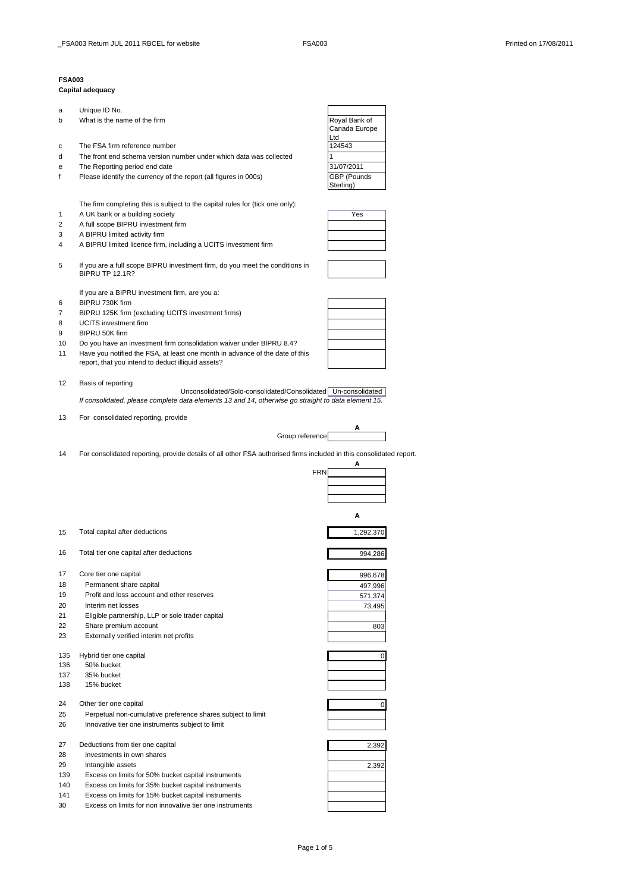## **FSA003**

## **Capital adequacy**

| a   | Unique ID No.                                                                                               |               |
|-----|-------------------------------------------------------------------------------------------------------------|---------------|
| b   | What is the name of the firm                                                                                | Royal Bank of |
|     |                                                                                                             | Canada Europe |
|     |                                                                                                             | Ltd           |
| с   | The FSA firm reference number                                                                               | 124543        |
| d   | The front end schema version number under which data was collected                                          | 1             |
| е   | The Reporting period end date                                                                               | 31/07/2011    |
| f   | Please identify the currency of the report (all figures in 000s)                                            | GBP (Pounds   |
|     |                                                                                                             | Sterling)     |
|     |                                                                                                             |               |
|     | The firm completing this is subject to the capital rules for (tick one only):                               |               |
| 1   | A UK bank or a building society                                                                             | Yes           |
| 2   | A full scope BIPRU investment firm                                                                          |               |
| 3   | A BIPRU limited activity firm                                                                               |               |
|     |                                                                                                             |               |
| 4   | A BIPRU limited licence firm, including a UCITS investment firm                                             |               |
|     |                                                                                                             |               |
| 5   | If you are a full scope BIPRU investment firm, do you meet the conditions in<br><b>BIPRU TP 12.1R?</b>      |               |
|     |                                                                                                             |               |
|     | If you are a BIPRU investment firm, are you a:                                                              |               |
|     | BIPRU 730K firm                                                                                             |               |
| 6   |                                                                                                             |               |
| 7   | BIPRU 125K firm (excluding UCITS investment firms)                                                          |               |
| 8   | <b>UCITS</b> investment firm                                                                                |               |
| 9   | BIPRU 50K firm                                                                                              |               |
| 10  | Do you have an investment firm consolidation waiver under BIPRU 8.4?                                        |               |
| 11  | Have you notified the FSA, at least one month in advance of the date of this                                |               |
|     | report, that you intend to deduct illiquid assets?                                                          |               |
|     |                                                                                                             |               |
| 12  | Basis of reporting                                                                                          |               |
|     | Unconsolidated/Solo-consolidated/Consolidated   Un-consolidated                                             |               |
|     | If consolidated, please complete data elements 13 and 14, otherwise go straight to data element 15.         |               |
|     |                                                                                                             |               |
| 13  | For consolidated reporting, provide                                                                         |               |
|     | Group reference                                                                                             | A             |
|     |                                                                                                             |               |
|     |                                                                                                             |               |
|     |                                                                                                             |               |
| 14  | For consolidated reporting, provide details of all other FSA authorised firms included in this consolidated |               |
|     | <b>FRN</b>                                                                                                  | Α             |
|     |                                                                                                             |               |
|     |                                                                                                             |               |
|     |                                                                                                             |               |
|     |                                                                                                             |               |
|     |                                                                                                             | А             |
|     |                                                                                                             |               |
| 15  | Total capital after deductions                                                                              | 1,292,370     |
|     |                                                                                                             |               |
| 16  | Total tier one capital after deductions                                                                     | 994,286       |
|     |                                                                                                             |               |
| 17  | Core tier one capital                                                                                       | 996,678       |
| 18  | Permanent share capital                                                                                     | 497,996       |
| 19  | Profit and loss account and other reserves                                                                  | 571,374       |
| 20  | Interim net losses                                                                                          | 73,495        |
| 21  |                                                                                                             |               |
|     | Eligible partnership, LLP or sole trader capital                                                            |               |
| 22  | Share premium account                                                                                       | 803           |
| 23  | Externally verified interim net profits                                                                     |               |
|     |                                                                                                             |               |
| 135 | Hybrid tier one capital                                                                                     | 0             |
| 136 | 50% bucket                                                                                                  |               |
| 137 | 35% bucket                                                                                                  |               |
| 138 | 15% bucket                                                                                                  |               |
|     |                                                                                                             |               |
| 24  | Other tier one capital                                                                                      | 0             |
| 25  | Perpetual non-cumulative preference shares subject to limit                                                 |               |
| 26  | Innovative tier one instruments subject to limit                                                            |               |
|     |                                                                                                             |               |
| 27  | Deductions from tier one capital                                                                            | 2,392         |
| 28  | Investments in own shares                                                                                   |               |
| 29  | Intangible assets                                                                                           | 2,392         |
| 139 | Excess on limits for 50% bucket capital instruments                                                         |               |
| 140 | Excess on limits for 35% bucket capital instruments                                                         |               |
| 141 | Excess on limits for 15% bucket capital instruments                                                         |               |

14 For consolidated reporting, provide details of all other FSA authorised firms included in this consolidated report.

| 2,392 |
|-------|
| 2,392 |
|       |
|       |
|       |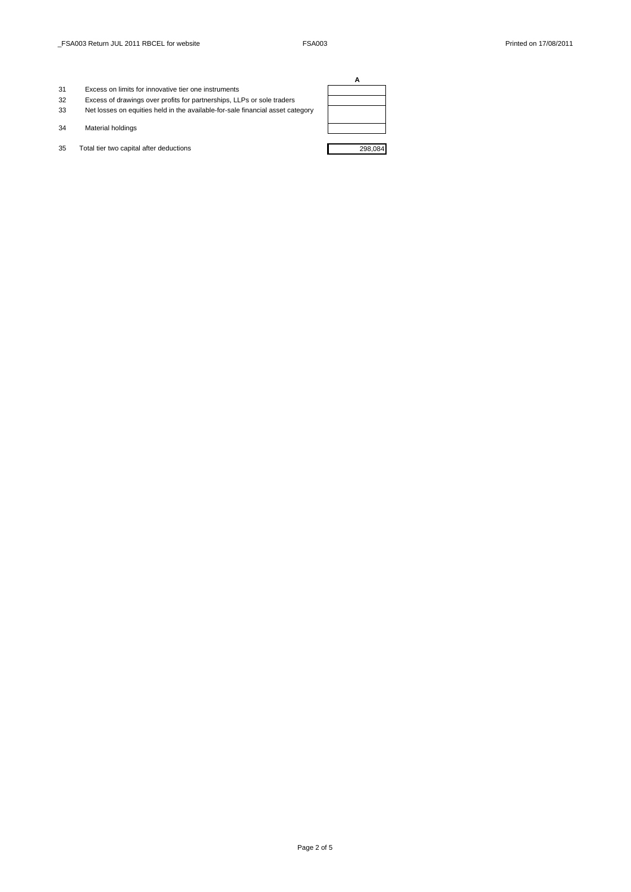- 31 Excess on limits for innovative tier one instruments
- 32 Excess of drawings over profits for partnerships, LLPs or sole traders
- 33 Net losses on equities held in the available-for-sale financial asset category
- 34 Material holdings
- 35 Total tier two capital after deductions 298,084

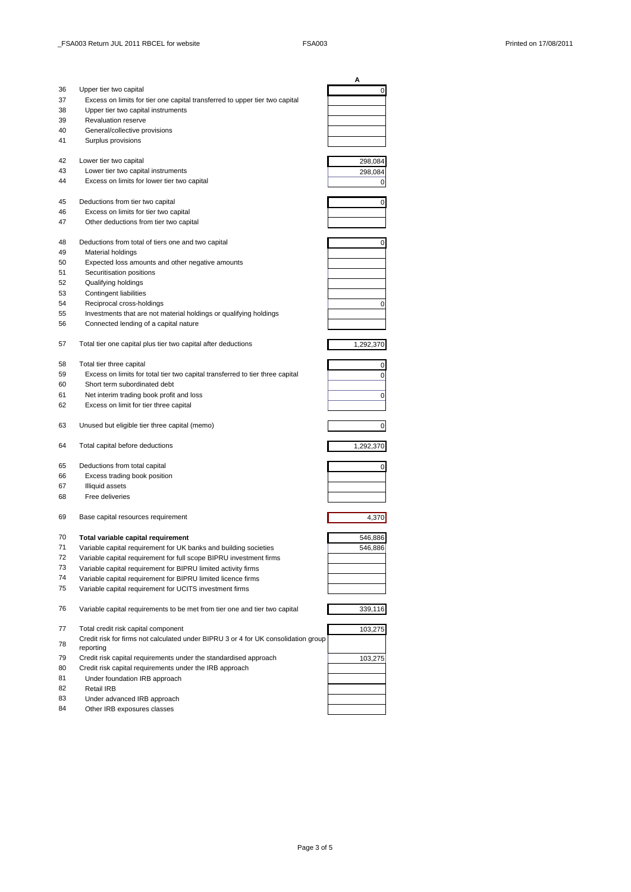|    |                                                                                    | Α         |
|----|------------------------------------------------------------------------------------|-----------|
| 36 | Upper tier two capital                                                             | 0         |
| 37 | Excess on limits for tier one capital transferred to upper tier two capital        |           |
| 38 | Upper tier two capital instruments                                                 |           |
| 39 | <b>Revaluation reserve</b>                                                         |           |
| 40 | General/collective provisions                                                      |           |
| 41 | Surplus provisions                                                                 |           |
|    |                                                                                    |           |
| 42 | Lower tier two capital                                                             | 298,084   |
| 43 | Lower tier two capital instruments                                                 | 298,084   |
| 44 | Excess on limits for lower tier two capital                                        | 0         |
|    |                                                                                    |           |
| 45 | Deductions from tier two capital                                                   | 0         |
| 46 | Excess on limits for tier two capital                                              |           |
| 47 | Other deductions from tier two capital                                             |           |
|    |                                                                                    |           |
| 48 | Deductions from total of tiers one and two capital                                 | 0         |
| 49 | Material holdings                                                                  |           |
| 50 | Expected loss amounts and other negative amounts                                   |           |
| 51 | Securitisation positions                                                           |           |
| 52 | Qualifying holdings                                                                |           |
| 53 | <b>Contingent liabilities</b>                                                      |           |
| 54 | Reciprocal cross-holdings                                                          |           |
| 55 |                                                                                    | 0         |
|    | Investments that are not material holdings or qualifying holdings                  |           |
| 56 | Connected lending of a capital nature                                              |           |
|    |                                                                                    |           |
| 57 | Total tier one capital plus tier two capital after deductions                      | 1,292,370 |
|    |                                                                                    |           |
| 58 | Total tier three capital                                                           | 0         |
| 59 | Excess on limits for total tier two capital transferred to tier three capital      | 0         |
| 60 | Short term subordinated debt                                                       |           |
| 61 | Net interim trading book profit and loss                                           | 0         |
| 62 | Excess on limit for tier three capital                                             |           |
| 63 | Unused but eligible tier three capital (memo)                                      |           |
|    |                                                                                    | 0         |
| 64 | Total capital before deductions                                                    |           |
|    |                                                                                    | 1,292,370 |
| 65 | Deductions from total capital                                                      | 0         |
| 66 | Excess trading book position                                                       |           |
| 67 | <b>Illiquid assets</b>                                                             |           |
| 68 | Free deliveries                                                                    |           |
|    |                                                                                    |           |
|    |                                                                                    |           |
| 69 | Base capital resources requirement                                                 | 4,370     |
| 70 |                                                                                    |           |
|    | Total variable capital requirement                                                 | 546,886   |
| 71 | Variable capital requirement for UK banks and building societies                   | 546,886   |
| 72 | Variable capital requirement for full scope BIPRU investment firms                 |           |
| 73 | Variable capital requirement for BIPRU limited activity firms                      |           |
| 74 | Variable capital requirement for BIPRU limited licence firms                       |           |
| 75 | Variable capital requirement for UCITS investment firms                            |           |
|    |                                                                                    |           |
| 76 | Variable capital requirements to be met from tier one and tier two capital         | 339,116   |
|    |                                                                                    |           |
| 77 | Total credit risk capital component                                                | 103,275   |
| 78 | Credit risk for firms not calculated under BIPRU 3 or 4 for UK consolidation group |           |
|    | reporting                                                                          |           |
| 79 | Credit risk capital requirements under the standardised approach                   | 103,275   |
| 80 | Credit risk capital requirements under the IRB approach                            |           |
| 81 | Under foundation IRB approach                                                      |           |
| 82 | Retail IRB                                                                         |           |
| 83 | Under advanced IRB approach                                                        |           |
|    | Other IRB exposures classes                                                        |           |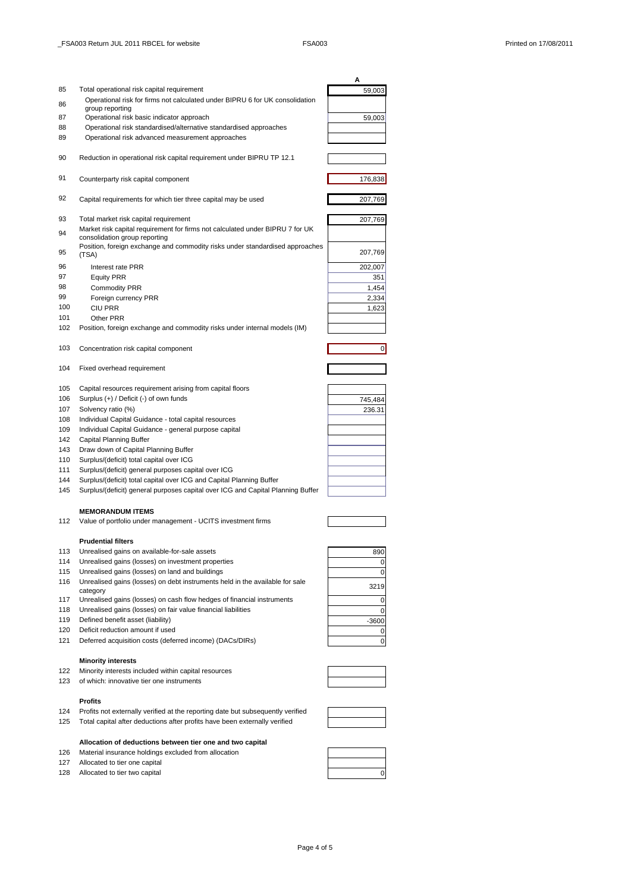|            |                                                                                    | Α              |
|------------|------------------------------------------------------------------------------------|----------------|
| 85         | Total operational risk capital requirement                                         | 59,003         |
| 86         | Operational risk for firms not calculated under BIPRU 6 for UK consolidation       |                |
| 87         | group reporting<br>Operational risk basic indicator approach                       | 59,003         |
| 88         | Operational risk standardised/alternative standardised approaches                  |                |
| 89         | Operational risk advanced measurement approaches                                   |                |
|            |                                                                                    |                |
| 90         | Reduction in operational risk capital requirement under BIPRU TP 12.1              |                |
|            |                                                                                    |                |
| 91         | Counterparty risk capital component                                                | 176,838        |
|            |                                                                                    |                |
| 92         | Capital requirements for which tier three capital may be used                      | 207,769        |
| 93         | Total market risk capital requirement                                              | 207,769        |
|            | Market risk capital requirement for firms not calculated under BIPRU 7 for UK      |                |
| 94         | consolidation group reporting                                                      |                |
| 95         | Position, foreign exchange and commodity risks under standardised approaches       | 207,769        |
|            | (TSA)                                                                              |                |
| 96<br>97   | Interest rate PRR                                                                  | 202,007        |
| 98         | <b>Equity PRR</b><br><b>Commodity PRR</b>                                          | 351<br>1,454   |
| 99         | Foreign currency PRR                                                               | 2,334          |
| 100        | <b>CIU PRR</b>                                                                     | 1,623          |
| 101        | Other PRR                                                                          |                |
| 102        | Position, foreign exchange and commodity risks under internal models (IM)          |                |
|            |                                                                                    |                |
| 103        | Concentration risk capital component                                               | $\overline{0}$ |
| 104        | Fixed overhead requirement                                                         |                |
|            |                                                                                    |                |
| 105        | Capital resources requirement arising from capital floors                          |                |
| 106        | Surplus (+) / Deficit (-) of own funds                                             | 745,484        |
| 107        | Solvency ratio (%)                                                                 | 236.31         |
| 108        | Individual Capital Guidance - total capital resources                              |                |
| 109<br>142 | Individual Capital Guidance - general purpose capital                              |                |
| 143        | Capital Planning Buffer<br>Draw down of Capital Planning Buffer                    |                |
| 110        | Surplus/(deficit) total capital over ICG                                           |                |
| 111        | Surplus/(deficit) general purposes capital over ICG                                |                |
| 144        | Surplus/(deficit) total capital over ICG and Capital Planning Buffer               |                |
| 145        | Surplus/(deficit) general purposes capital over ICG and Capital Planning Buffer    |                |
|            |                                                                                    |                |
|            | <b>MEMORANDUM ITEMS</b>                                                            |                |
| 112        | Value of portfolio under management - UCITS investment firms                       |                |
|            | <b>Prudential filters</b>                                                          |                |
| 113        | Unrealised gains on available-for-sale assets                                      | 890            |
| 114        | Unrealised gains (losses) on investment properties                                 | 0              |
| 115        | Unrealised gains (losses) on land and buildings                                    | 0              |
| 116        | Unrealised gains (losses) on debt instruments held in the available for sale       | 3219           |
| 117        | category<br>Unrealised gains (losses) on cash flow hedges of financial instruments | 0              |
| 118        | Unrealised gains (losses) on fair value financial liabilities                      | 0              |
| 119        | Defined benefit asset (liability)                                                  | $-3600$        |
| 120        | Deficit reduction amount if used                                                   | 0              |
| 121        | Deferred acquisition costs (deferred income) (DACs/DIRs)                           | $\mathbf 0$    |
|            | <b>Minority interests</b>                                                          |                |
| 122        | Minority interests included within capital resources                               |                |
| 123        | of which: innovative tier one instruments                                          |                |
|            |                                                                                    |                |
|            | <b>Profits</b>                                                                     |                |
| 124        | Profits not externally verified at the reporting date but subsequently verified    |                |
| 125        | Total capital after deductions after profits have been externally verified         |                |

**Allocation of deductions between tier one and two capital** 126 Material insurance holdings excluded from allocation

- 127 Allocated to tier one capital
- 



| 126 | Material insurance holdings excluded from allocation |  |
|-----|------------------------------------------------------|--|
| 127 | Allocated to tier one capital                        |  |
| 128 | Allocated to tier two capital                        |  |
|     |                                                      |  |